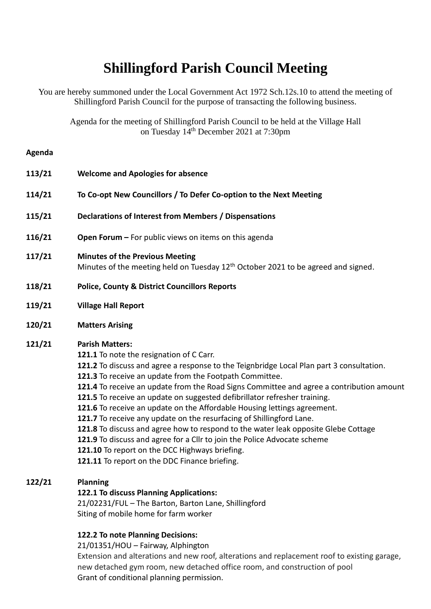# **Shillingford Parish Council Meeting**

You are hereby summoned under the Local Government Act 1972 Sch.12s.10 to attend the meeting of Shillingford Parish Council for the purpose of transacting the following business.

Agenda for the meeting of Shillingford Parish Council to be held at the Village Hall on Tuesday 14<sup>th</sup> December 2021 at 7:30pm

#### **Agenda**

| 113/21 | <b>Welcome and Apologies for absence</b>                                                                                                                                                                                                                                                                                                                                                                                                                                                                                                                                                                                                                                                                                                                                                                                    |
|--------|-----------------------------------------------------------------------------------------------------------------------------------------------------------------------------------------------------------------------------------------------------------------------------------------------------------------------------------------------------------------------------------------------------------------------------------------------------------------------------------------------------------------------------------------------------------------------------------------------------------------------------------------------------------------------------------------------------------------------------------------------------------------------------------------------------------------------------|
| 114/21 | To Co-opt New Councillors / To Defer Co-option to the Next Meeting                                                                                                                                                                                                                                                                                                                                                                                                                                                                                                                                                                                                                                                                                                                                                          |
| 115/21 | Declarations of Interest from Members / Dispensations                                                                                                                                                                                                                                                                                                                                                                                                                                                                                                                                                                                                                                                                                                                                                                       |
| 116/21 | Open Forum - For public views on items on this agenda                                                                                                                                                                                                                                                                                                                                                                                                                                                                                                                                                                                                                                                                                                                                                                       |
| 117/21 | <b>Minutes of the Previous Meeting</b><br>Minutes of the meeting held on Tuesday 12 <sup>th</sup> October 2021 to be agreed and signed.                                                                                                                                                                                                                                                                                                                                                                                                                                                                                                                                                                                                                                                                                     |
| 118/21 | <b>Police, County &amp; District Councillors Reports</b>                                                                                                                                                                                                                                                                                                                                                                                                                                                                                                                                                                                                                                                                                                                                                                    |
| 119/21 | <b>Village Hall Report</b>                                                                                                                                                                                                                                                                                                                                                                                                                                                                                                                                                                                                                                                                                                                                                                                                  |
| 120/21 | <b>Matters Arising</b>                                                                                                                                                                                                                                                                                                                                                                                                                                                                                                                                                                                                                                                                                                                                                                                                      |
| 121/21 | <b>Parish Matters:</b><br>121.1 To note the resignation of C Carr.<br>121.2 To discuss and agree a response to the Teignbridge Local Plan part 3 consultation.<br>121.3 To receive an update from the Footpath Committee.<br>121.4 To receive an update from the Road Signs Committee and agree a contribution amount<br>121.5 To receive an update on suggested defibrillator refresher training.<br>121.6 To receive an update on the Affordable Housing lettings agreement.<br>121.7 To receive any update on the resurfacing of Shillingford Lane.<br>121.8 To discuss and agree how to respond to the water leak opposite Glebe Cottage<br>121.9 To discuss and agree for a Cllr to join the Police Advocate scheme<br>121.10 To report on the DCC Highways briefing.<br>121.11 To report on the DDC Finance briefing. |

# **122/21 Planning**

#### **122.1 To discuss Planning Applications:**

21/02231/FUL – The Barton, Barton Lane, Shillingford Siting of mobile home for farm worker

## **122.2 To note Planning Decisions:**

21/01351/HOU – Fairway, Alphington

Extension and alterations and new roof, alterations and replacement roof to existing garage, new detached gym room, new detached office room, and construction of pool Grant of conditional planning permission.